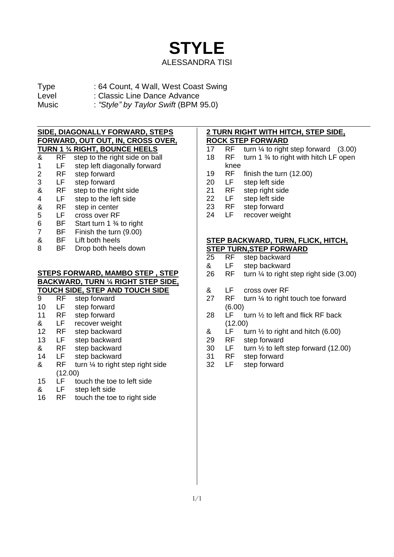

- Type : 64 Count, 4 Wall, West Coast Swing
- Level : Classic Line Dance Advance
- 
- Music : *"Style" by Taylor Swift* (BPM 95.0)

### **SIDE, DIAGONALLY FORWARD, STEPS FORWARD, OUT OUT, IN, CROSS OVER, TURN 1 ¾ RIGHT, BOUNCE HEELS**

- & RF step to the right side on ball 1 LF step left diagonally forward<br>2 RF step forward RF step forward 3 LF step forward & RF step to the right side 4 LF step to the left side & RF step in center 5 LF cross over RF 6 BF Start turn 1 ¾ to right 7 BF Finish the turn (9.00)
- & BF Lift both heels
- 8 BF Drop both heels down

### **STEPS FORWARD, MAMBO STEP , STEP BACKWARD, TURN ¼ RIGHT STEP SIDE, TOUCH SIDE, STEP AND TOUCH SIDE**

| 9  | RF      | step forward                                |
|----|---------|---------------------------------------------|
| 10 | LF      | step forward                                |
| 11 | RF      | step forward                                |
| &  | LF      | recover weight                              |
| 12 | RF      | step backward                               |
| 13 | LF      | step backward                               |
| &  | RF      | step backward                               |
| 14 | LF      | step backward                               |
| &  | RF      | turn $\frac{1}{4}$ to right step right side |
|    | (12.00) |                                             |
| ィベ |         | touch the toe to left side                  |

- 15 LF touch the toe to left side<br>& LF step left side
- & LF step left side
- 16 RF touch the toe to right side

## **2 TURN RIGHT WITH HITCH, STEP SIDE,**

- **ROCK STEP FORWARD**<br>17 RF turn 1/4 to right 17 RF turn  $\frac{1}{4}$  to right step forward (3.00)
- 18 RF turn 1 % to right with hitch LF open
- knee
- 19 RF finish the turn (12.00)<br>20 LF step left side
- 20 LF step left side
- 21 RF step right side
- 22 LF step left side
- 23 RF step forward
- 24 LF recover weight

## **STEP BACKWARD, TURN, FLICK, HITCH, STEP TURN, STEP FORWARD**<br>25 RF step backward

- RF step backward
- & LF step backward
- 26 RF turn ¼ to right step right side (3.00)
- & LF cross over RF
- 27 RF turn ¼ to right touch toe forward (6.00)
- 28  $LF$  turn  $\frac{1}{2}$  to left and flick RF back (12.00)
- & LF turn  $\frac{1}{2}$  to right and hitch (6.00)
- 29 RF step forward
- 30 LF turn ½ to left step forward (12.00)
- 31 RF step forward
- 32 LF step forward